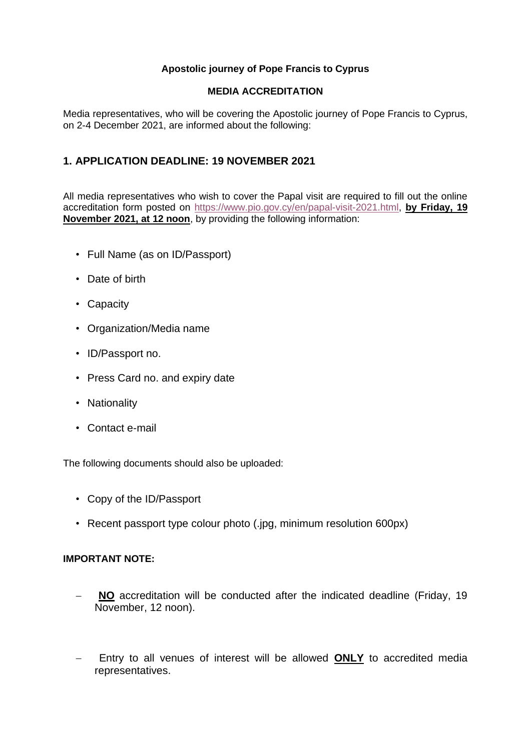## **Apostolic journey of Pope Francis to Cyprus**

### **MEDIA ACCREDITATION**

Media representatives, who will be covering the Apostolic journey of Pope Francis to Cyprus, on 2-4 December 2021, are informed about the following:

## **1. APPLICATION DEADLINE: 19 NOVEMBER 2021**

All media representatives who wish to cover the Papal visit are required to fill out the online accreditation form posted on [https://www.pio.gov.cy/en/papal-visit-2021.html,](https://urldefense.com/v3/__https:/www.pio.gov.cy/en/papal-visit-2021.html__;!!ACWV5N9M2RV99hQ!eo8I4mxBhypll6OVYDdRx-Dt7T-WSPQ8_OSSebMmadvQV8ZnU5mZud3y9aOAFcvamCNt$) **by Friday, 19 November 2021, at 12 noon**, by providing the following information:

- Full Name (as on ID/Passport)
- Date of birth
- Capacity
- Organization/Media name
- ID/Passport no.
- Press Card no. and expiry date
- Nationality
- Contact e-mail

The following documents should also be uploaded:

- Copy of the ID/Passport
- Recent passport type colour photo (.jpg, minimum resolution 600px)

### **IMPORTANT NOTE:**

- − **NO** accreditation will be conducted after the indicated deadline (Friday, 19 November, 12 noon).
- − Entry to all venues of interest will be allowed **ONLY** to accredited media representatives.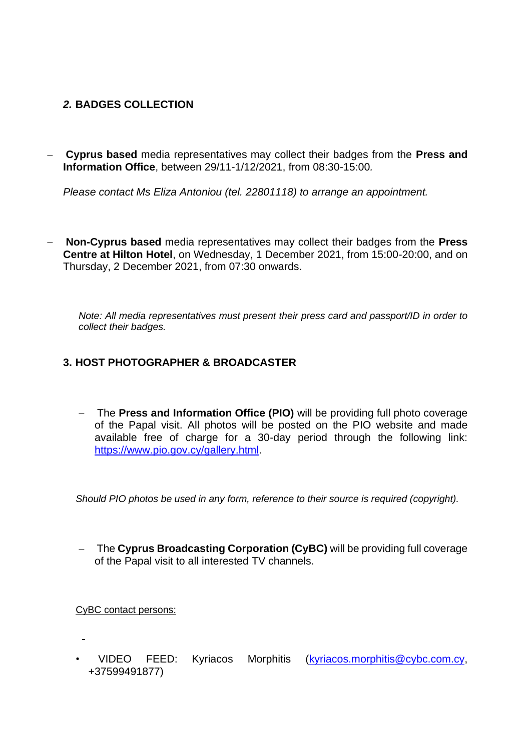## *2.* **BADGES COLLECTION**

− **Cyprus based** media representatives may collect their badges from the **Press and Information Office**, between 29/11-1/12/2021, from 08:30-15:00*.* 

*Please contact Ms Eliza Antoniou (tel. 22801118) to arrange an appointment.*

− **Non-Cyprus based** media representatives may collect their badges from the **Press Centre at Hilton Hotel**, on Wednesday, 1 December 2021, from 15:00-20:00, and on Thursday, 2 December 2021, from 07:30 onwards.

*Note: All media representatives must present their press card and passport/ID in order to collect their badges.* 

## **3. HOST PHOTOGRAPHER & BROADCASTER**

− The **Press and Information Office (PIO)** will be providing full photo coverage of the Papal visit. All photos will be posted on the PIO website and made available free of charge for a 30-day period through the following link: [https://www.pio.gov.cy/gallery.html.](https://urldefense.com/v3/__https:/www.pio.gov.cy/gallery.html__;!!ACWV5N9M2RV99hQ!eo8I4mxBhypll6OVYDdRx-Dt7T-WSPQ8_OSSebMmadvQV8ZnU5mZud3y9aOAFX9zq9Z-$)

*Should PIO photos be used in any form, reference to their source is required (copyright).*

− The **Cyprus Broadcasting Corporation (CyBC)** will be providing full coverage of the Papal visit to all interested TV channels.

CyBC contact persons:

• VIDEO FEED: Kyriacos Morphitis [\(kyriacos.morphitis@cybc.com.cy,](mailto:kyriacos.morphitis@cybc.com.cy) +37599491877)